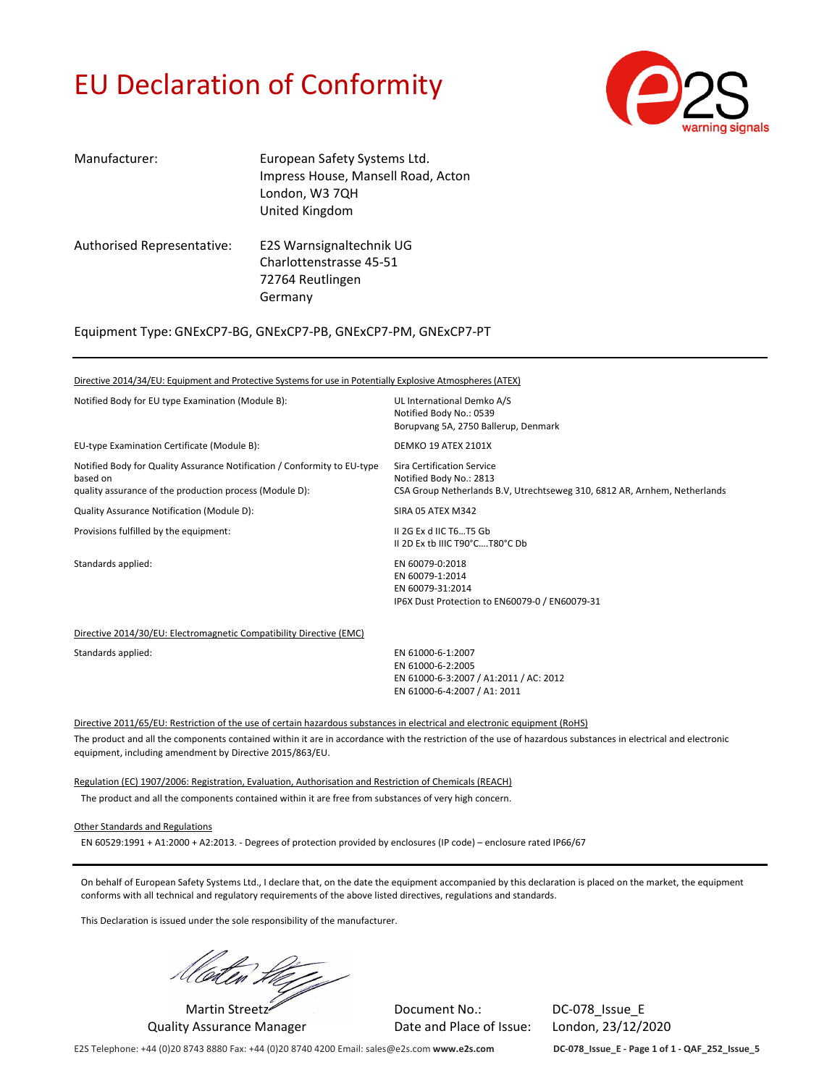# EU Declaration of Conformity



| Manufacturer:              | European Safety Systems Ltd.<br>Impress House, Mansell Road, Acton<br>London, W3 7QH<br>United Kingdom |
|----------------------------|--------------------------------------------------------------------------------------------------------|
| Authorised Representative: | E2S Warnsignaltechnik UG<br>Charlottenstrasse 45-51<br>72764 Reutlingen<br>Germany                     |

Equipment Type: GNExCP7‐BG, GNExCP7‐PB, GNExCP7‐PM, GNExCP7‐PT

Directive 2014/34/EU: Equipment and Protective Systems for use in Potentially Explosive Atmospheres (ATEX) Notified Body for EU type Examination (Module B): UL International Demko A/S Notified Body No.: 0539 Borupvang 5A, 2750 Ballerup, Denmark EU-type Examination Certificate (Module B): DEMKO 19 ATEX 2101X Notified Body for Quality Assurance Notification / Conformity to EU‐type based on quality assurance of the production process (Module D): Sira Certification Service Notified Body No.: 2813 CSA Group Netherlands B.V, Utrechtseweg 310, 6812 AR, Arnhem, Netherlands Quality Assurance Notification (Module D): SIRA 05 ATEX M342 Provisions fulfilled by the equipment: II 2G Ex d IIC T6…T5 Gb II 2D Ex tb IIIC T90°C….T80°C Db Standards applied: EN 60079-0:2018 EN 60079‐1:2014 EN 60079‐31:2014 IP6X Dust Protection to EN60079‐0 / EN60079‐31 Directive 2014/30/EU: Electromagnetic Compatibility Directive (EMC) Standards applied: EN 61000-6-1:2007 EN 61000‐6‐2:2005 EN 61000‐6‐3:2007 / A1:2011 / AC: 2012

Directive 2011/65/EU: Restriction of the use of certain hazardous substances in electrical and electronic equipment (RoHS)

The product and all the components contained within it are in accordance with the restriction of the use of hazardous substances in electrical and electronic equipment, including amendment by Directive 2015/863/EU.

EN 61000‐6‐4:2007 / A1: 2011

Regulation (EC) 1907/2006: Registration, Evaluation, Authorisation and Restriction of Chemicals (REACH)

The product and all the components contained within it are free from substances of very high concern.

Other Standards and Regulations

EN 60529:1991 + A1:2000 + A2:2013. ‐ Degrees of protection provided by enclosures (IP code) – enclosure rated IP66/67

On behalf of European Safety Systems Ltd., I declare that, on the date the equipment accompanied by this declaration is placed on the market, the equipment conforms with all technical and regulatory requirements of the above listed directives, regulations and standards.

This Declaration is issued under the sole responsibility of the manufacturer.

Moten Herry Document No.: DC‐078\_Issue\_E

Quality Assurance Manager Date and Place of Issue: London, 23/12/2020

E2S Telephone: +44 (0)20 8743 8880 Fax: +44 (0)20 8740 4200 Email: sales@e2s.com **www.e2s.com DC‐078\_Issue\_E ‐ Page 1 of 1 ‐ QAF\_252\_Issue\_5**